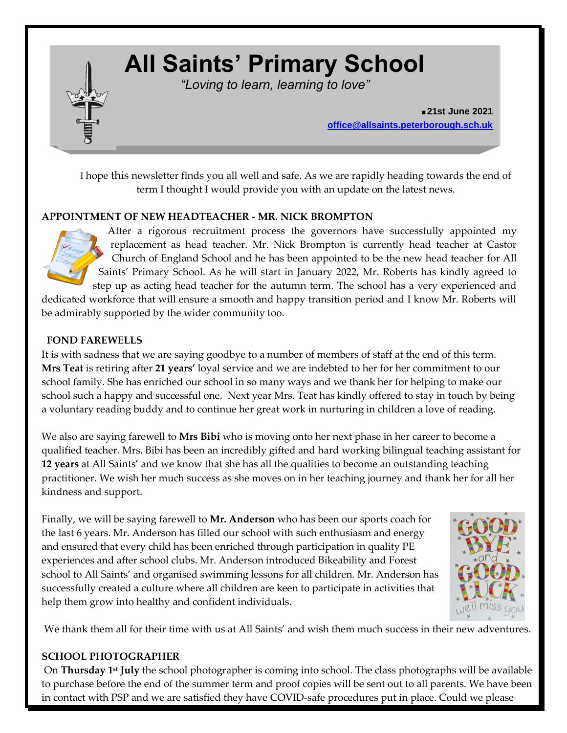# **All Saints' Primary School**

*"Loving to learn, learning to love"*

**.21st June 2021 [office@allsaints.peterborough.sch.uk](mailto:office@allsaints.peterborough.sch.uk)**

I hope this newsletter finds you all well and safe. As we are rapidly heading towards the end of term I thought I would provide you with an update on the latest news.

# **APPOINTMENT OF NEW HEADTEACHER - MR. NICK BROMPTON**

After a rigorous recruitment process the governors have successfully appointed my replacement as head teacher. Mr. Nick Brompton is currently head teacher at Castor Church of England School and he has been appointed to be the new head teacher for All Saints' Primary School. As he will start in January 2022, Mr. Roberts has kindly agreed to step up as acting head teacher for the autumn term. The school has a very experienced and dedicated workforce that will ensure a smooth and happy transition period and I know Mr. Roberts will

be admirably supported by the wider community too.

# **FOND FAREWELLS**

It is with sadness that we are saying goodbye to a number of members of staff at the end of this term. **Mrs Teat** is retiring after **21 years'** loyal service and we are indebted to her for her commitment to our school family. She has enriched our school in so many ways and we thank her for helping to make our school such a happy and successful one. Next year Mrs. Teat has kindly offered to stay in touch by being a voluntary reading buddy and to continue her great work in nurturing in children a love of reading.

We also are saying farewell to **Mrs Bibi** who is moving onto her next phase in her career to become a qualified teacher. Mrs. Bibi has been an incredibly gifted and hard working bilingual teaching assistant for **12 years** at All Saints' and we know that she has all the qualities to become an outstanding teaching practitioner. We wish her much success as she moves on in her teaching journey and thank her for all her kindness and support.

Finally, we will be saying farewell to **Mr. Anderson** who has been our sports coach for the last 6 years. Mr. Anderson has filled our school with such enthusiasm and energy and ensured that every child has been enriched through participation in quality PE experiences and after school clubs. Mr. Anderson introduced Bikeability and Forest school to All Saints' and organised swimming lessons for all children. Mr. Anderson has successfully created a culture where all children are keen to participate in activities that help them grow into healthy and confident individuals.



We thank them all for their time with us at All Saints' and wish them much success in their new adventures.

# **SCHOOL PHOTOGRAPHER**

On **Thursday 1st July** the school photographer is coming into school. The class photographs will be available to purchase before the end of the summer term and proof copies will be sent out to all parents. We have been in contact with PSP and we are satisfied they have COVID-safe procedures put in place. Could we please